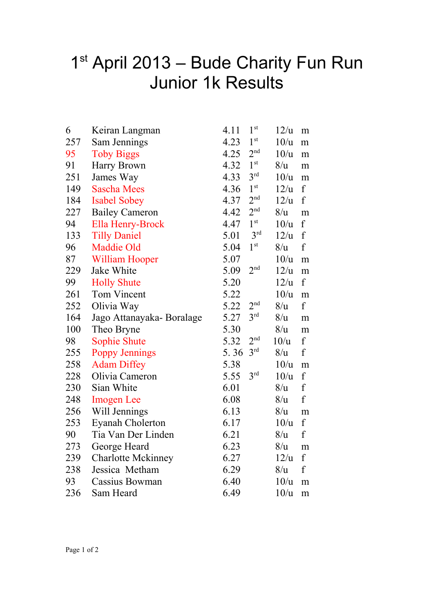## 1<sup>st</sup> April 2013 – Bude Charity Fun Run Junior 1k Results

| 6   | Keiran Langman            | 1 <sup>st</sup><br>4.11 | 12/u | m                |
|-----|---------------------------|-------------------------|------|------------------|
| 257 | Sam Jennings              | 1 <sup>st</sup><br>4.23 | 10/u | m                |
| 95  | <b>Toby Biggs</b>         | 2 <sup>nd</sup><br>4.25 | 10/u | m                |
| 91  | Harry Brown               | 1 <sup>st</sup><br>4.32 | 8/u  | m                |
| 251 | James Way                 | 3 <sup>rd</sup><br>4.33 | 10/u | m                |
| 149 | <b>Sascha Mees</b>        | 1 <sup>st</sup><br>4.36 | 12/u | $\mathbf f$      |
| 184 | <b>Isabel Sobey</b>       | 2 <sup>nd</sup><br>4.37 | 12/u | $\mathbf f$      |
| 227 | <b>Bailey Cameron</b>     | 2 <sup>nd</sup><br>4.42 | 8/u  | m                |
| 94  | Ella Henry-Brock          | 1 <sup>st</sup><br>4.47 | 10/u | f                |
| 133 | <b>Tilly Daniel</b>       | 3 <sup>rd</sup><br>5.01 | 12/u | $\mathbf f$      |
| 96  | <b>Maddie Old</b>         | 1 <sup>st</sup><br>5.04 | 8/u  | $\mathbf f$      |
| 87  | <b>William Hooper</b>     | 5.07                    | 10/u | m                |
| 229 | Jake White                | 2 <sup>nd</sup><br>5.09 | 12/u | ${\bf m}$        |
| 99  | <b>Holly Shute</b>        | 5.20                    | 12/u | $\boldsymbol{f}$ |
| 261 | Tom Vincent               | 5.22                    | 10/u | ${\bf m}$        |
| 252 | Olivia Way                | 2 <sup>nd</sup><br>5.22 | 8/u  | $\mathbf f$      |
| 164 |                           | 3 <sup>rd</sup><br>5.27 | 8/u  |                  |
| 100 | Jago Attanayaka-Boralage  | 5.30                    | 8/u  | ${\rm m}$        |
| 98  | Theo Bryne                | 2 <sup>nd</sup>         |      | m<br>$\mathbf f$ |
|     | <b>Sophie Shute</b>       | 5.32<br>3 <sup>rd</sup> | 10/u | $\mathbf f$      |
| 255 | <b>Poppy Jennings</b>     | 5.36                    | 8/u  |                  |
| 258 | <b>Adam Diffey</b>        | 5.38<br>3 <sup>rd</sup> | 10/u | m                |
| 228 | Olivia Cameron            | 5.55                    | 10/u | f                |
| 230 | Sian White                | 6.01                    | 8/u  | $\mathbf f$      |
| 248 | <b>Imogen</b> Lee         | 6.08                    | 8/u  | $\mathbf f$      |
| 256 | Will Jennings             | 6.13                    | 8/u  | m                |
| 253 | Eyanah Cholerton          | 6.17                    | 10/u | $\mathbf f$      |
| 90  | Tia Van Der Linden        | 6.21                    | 8/u  | $\mathbf f$      |
| 273 | George Heard              | 6.23                    | 8/u  | m                |
| 239 | <b>Charlotte Mckinney</b> | 6.27                    | 12/u | f                |
| 238 | Jessica Metham            | 6.29                    | 8/u  | $\mathbf f$      |
| 93  | Cassius Bowman            | 6.40                    | 10/u | m                |
| 236 | Sam Heard                 | 6.49                    | 10/u | m                |